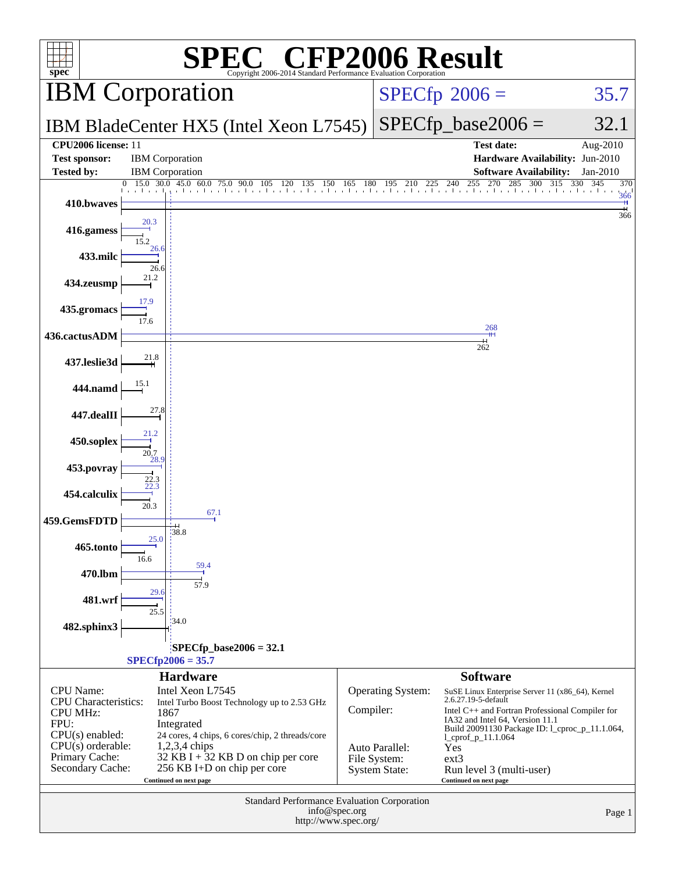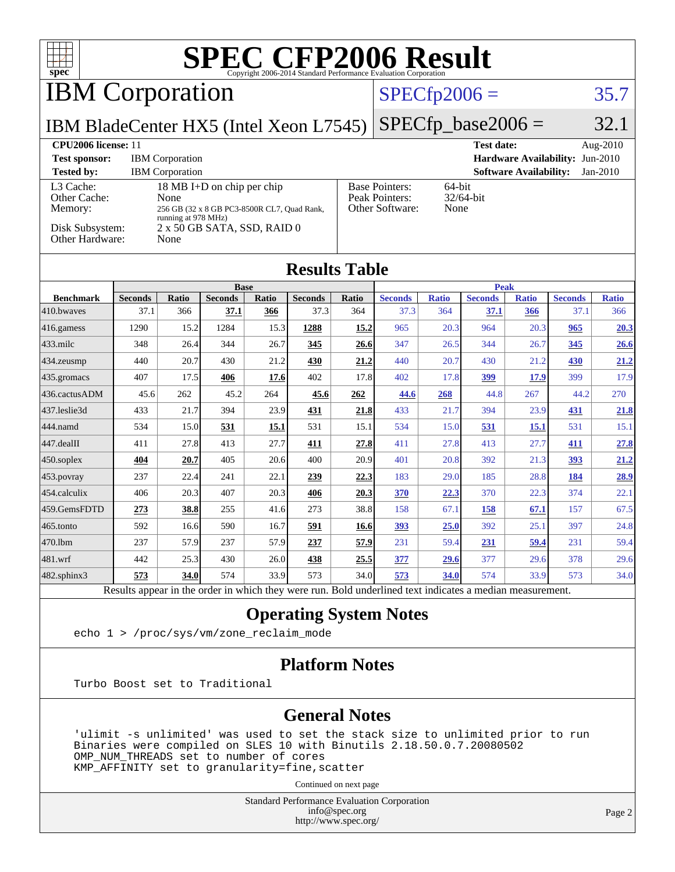| TH H<br>$spec^*$                                                           |                |                                                  |                                                                                                          |       | <b>SPEC CFP2006 Result</b><br>Copyright 2006-2014 Standard Performance Evaluation Corporation |       |                                                            |                                                                                                 |                      |                               |                                 |                        |
|----------------------------------------------------------------------------|----------------|--------------------------------------------------|----------------------------------------------------------------------------------------------------------|-------|-----------------------------------------------------------------------------------------------|-------|------------------------------------------------------------|-------------------------------------------------------------------------------------------------|----------------------|-------------------------------|---------------------------------|------------------------|
| <b>IBM</b> Corporation                                                     |                |                                                  |                                                                                                          |       |                                                                                               |       | $SPECfp2006 =$                                             |                                                                                                 |                      |                               |                                 | 35.7                   |
| IBM BladeCenter HX5 (Intel Xeon L7545)                                     |                |                                                  |                                                                                                          |       |                                                                                               |       |                                                            |                                                                                                 | $SPECfp\_base2006 =$ |                               |                                 | 32.1                   |
| CPU2006 license: 11<br><b>Test sponsor:</b><br><b>Tested by:</b>           |                | <b>IBM</b> Corporation<br><b>IBM</b> Corporation |                                                                                                          |       |                                                                                               |       |                                                            |                                                                                                 | <b>Test date:</b>    | <b>Software Availability:</b> | Hardware Availability: Jun-2010 | Aug-2010<br>$Jan-2010$ |
| L3 Cache:<br>Other Cache:<br>Memory:<br>Disk Subsystem:<br>Other Hardware: |                | None<br>running at 978 MHz)<br>None              | 18 MB I+D on chip per chip<br>256 GB (32 x 8 GB PC3-8500R CL7, Quad Rank,<br>2 x 50 GB SATA, SSD, RAID 0 |       |                                                                                               |       | <b>Base Pointers:</b><br>Peak Pointers:<br>Other Software: | 64-bit<br>None                                                                                  | 32/64-bit            |                               |                                 |                        |
|                                                                            |                |                                                  |                                                                                                          |       | <b>Results Table</b>                                                                          |       |                                                            |                                                                                                 |                      |                               |                                 |                        |
| <b>Benchmark</b>                                                           | <b>Seconds</b> | Ratio                                            | <b>Base</b><br><b>Seconds</b>                                                                            | Ratio | <b>Seconds</b>                                                                                | Ratio | <b>Seconds</b>                                             | <b>Peak</b><br><b>Ratio</b><br><b>Seconds</b><br><b>Ratio</b><br><b>Seconds</b><br><b>Ratio</b> |                      |                               |                                 |                        |
| 410.bwayes                                                                 | 37.1           | 366                                              | 37.1                                                                                                     | 366   | 37.3                                                                                          | 364   | 37.3                                                       | 364                                                                                             | 37.1                 | 366                           | 37.1                            | 366                    |
| 416.gamess                                                                 | 1290           | 15.2                                             | 1284                                                                                                     | 15.3  | 1288                                                                                          | 15.2  | 965                                                        | 20.3                                                                                            | 964                  | 20.3                          | 965                             | 20.3                   |
| 433.milc                                                                   | 348            | 26.4                                             | 344                                                                                                      | 26.7  | 345                                                                                           | 26.6  | 347                                                        | 26.5                                                                                            | 344                  | 26.7                          | 345                             | 26.6                   |
| 434.zeusmp                                                                 | 440            | 20.7                                             | 430                                                                                                      | 21.2  | 430                                                                                           | 21.2  | 440                                                        | 20.7                                                                                            | 430                  | 21.2                          | 430                             | 21.2                   |
| 435.gromacs                                                                | 407            | 17.5                                             | 406                                                                                                      | 17.6  | 402                                                                                           | 17.8  | 402                                                        | 17.8                                                                                            | 399                  | 17.9                          | 399                             | 17.9                   |
| 436.cactusADM                                                              | 45.6           | 262                                              | 45.2                                                                                                     | 264   | 45.6                                                                                          | 262   | 44.6                                                       | 268                                                                                             | 44.8                 | 267                           | 44.2                            | 270                    |
| 437.leslie3d                                                               | 433            | 21.7                                             | 394                                                                                                      | 23.9  | 431                                                                                           | 21.8  | 433                                                        | 21.7                                                                                            | 394                  | 23.9                          | 431                             | 21.8                   |
| 444.namd                                                                   | 534            | 15.0                                             | 531                                                                                                      | 15.1  | 531                                                                                           | 15.1  | 534                                                        | 15.0                                                                                            | 531                  | 15.1                          | 531                             | 15.1                   |
| 447.dealII                                                                 | 411            | 27.8                                             | 413                                                                                                      | 27.7  | 411                                                                                           | 27.8  | 411                                                        | 27.8                                                                                            | 413                  | 27.7                          | 411                             | 27.8                   |
| 450.soplex                                                                 | 404            | 20.7                                             | 405                                                                                                      | 20.6  | 400                                                                                           | 20.9  | 401                                                        | 20.8                                                                                            | 392                  | 21.3                          | 393                             | 21.2                   |
| 453.povray                                                                 | 237            | 22.4                                             | 241                                                                                                      | 22.1  | 239                                                                                           | 22.3  | 183                                                        | 29.0                                                                                            | 185                  | 28.8                          | 184                             | 28.9                   |
| 454.calculix                                                               | 406            | 20.3                                             | 407                                                                                                      | 20.3  | 406                                                                                           | 20.3  | 370                                                        | 22.3                                                                                            | 370                  | 22.3                          | 374                             | 22.1                   |
| 459.GemsFDTD                                                               | 273            | 38.8                                             | 255                                                                                                      | 41.6  | 273                                                                                           | 38.8  | 158                                                        | 67.1                                                                                            | 158                  | 67.1                          | 157                             | 67.5                   |
| 465.tonto                                                                  | 592            | 16.6                                             | 590                                                                                                      | 16.7  | 591                                                                                           | 16.6  | 393                                                        | 25.0                                                                                            | 392                  | 25.1                          | 397                             | 24.8                   |
| 470.1bm                                                                    | 237            | 57.9                                             | 237                                                                                                      | 57.9  | 237                                                                                           | 57.9  | 231                                                        | 59.4                                                                                            | 231                  | 59.4                          | 231                             | 59.4                   |
| 481.wrf                                                                    | 442            | 25.3                                             | 430                                                                                                      | 26.0  | 438                                                                                           | 25.5  | 377                                                        | 29.6                                                                                            | 377                  | 29.6                          | 378                             | 29.6                   |
| 482.sphinx3                                                                | 573            | 34.0                                             | 574                                                                                                      | 33.9  | 573                                                                                           | 34.0  | 573                                                        | 34.0                                                                                            | 574                  | 33.9                          | 573                             | 34.0                   |

Results appear in the [order in which they were run.](http://www.spec.org/auto/cpu2006/Docs/result-fields.html#RunOrder) Bold underlined text [indicates a median measurement.](http://www.spec.org/auto/cpu2006/Docs/result-fields.html#Median)

### **[Operating System Notes](http://www.spec.org/auto/cpu2006/Docs/result-fields.html#OperatingSystemNotes)**

echo 1 > /proc/sys/vm/zone\_reclaim\_mode

### **[Platform Notes](http://www.spec.org/auto/cpu2006/Docs/result-fields.html#PlatformNotes)**

Turbo Boost set to Traditional

### **[General Notes](http://www.spec.org/auto/cpu2006/Docs/result-fields.html#GeneralNotes)**

 'ulimit -s unlimited' was used to set the stack size to unlimited prior to run Binaries were compiled on SLES 10 with Binutils 2.18.50.0.7.20080502 OMP\_NUM\_THREADS set to number of cores KMP\_AFFINITY set to granularity=fine,scatter

Continued on next page

Standard Performance Evaluation Corporation [info@spec.org](mailto:info@spec.org) <http://www.spec.org/>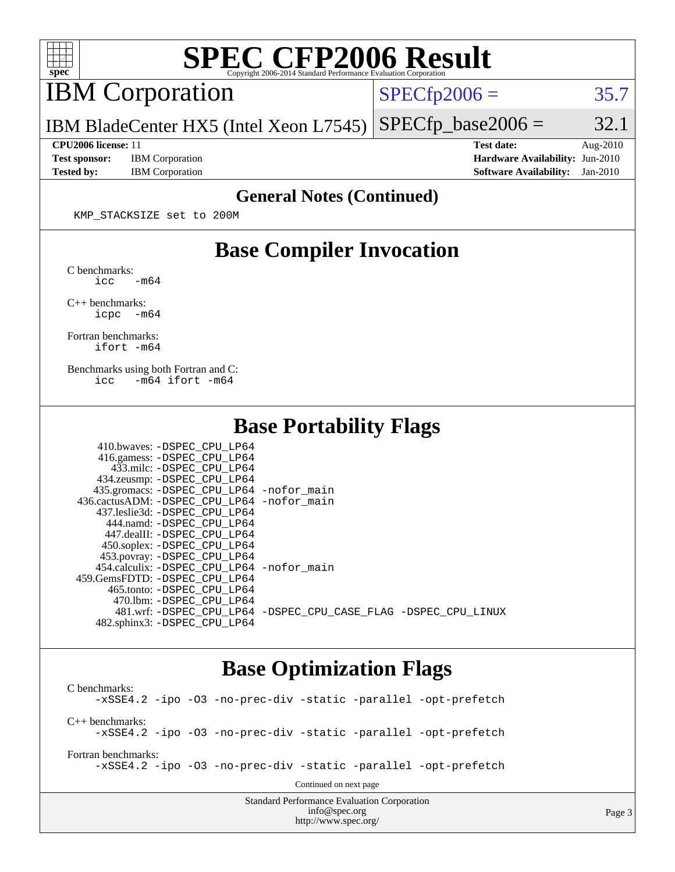

# **[SPEC CFP2006 Result](http://www.spec.org/auto/cpu2006/Docs/result-fields.html#SPECCFP2006Result)**

IBM Corporation

 $SPECTp2006 = 35.7$ 

IBM BladeCenter HX5 (Intel Xeon L7545)  $SPECTp\_base2006 = 32.1$ 

**[Test sponsor:](http://www.spec.org/auto/cpu2006/Docs/result-fields.html#Testsponsor)** IBM Corporation **[Hardware Availability:](http://www.spec.org/auto/cpu2006/Docs/result-fields.html#HardwareAvailability)** Jun-2010

**[CPU2006 license:](http://www.spec.org/auto/cpu2006/Docs/result-fields.html#CPU2006license)** 11 **[Test date:](http://www.spec.org/auto/cpu2006/Docs/result-fields.html#Testdate)** Aug-2010 **[Tested by:](http://www.spec.org/auto/cpu2006/Docs/result-fields.html#Testedby)** IBM Corporation **[Software Availability:](http://www.spec.org/auto/cpu2006/Docs/result-fields.html#SoftwareAvailability)** Jan-2010

### **[General Notes \(Continued\)](http://www.spec.org/auto/cpu2006/Docs/result-fields.html#GeneralNotes)**

KMP\_STACKSIZE set to 200M

## **[Base Compiler Invocation](http://www.spec.org/auto/cpu2006/Docs/result-fields.html#BaseCompilerInvocation)**

[C benchmarks](http://www.spec.org/auto/cpu2006/Docs/result-fields.html#Cbenchmarks):  $\text{icc}$   $-\text{m64}$ 

[C++ benchmarks:](http://www.spec.org/auto/cpu2006/Docs/result-fields.html#CXXbenchmarks) [icpc -m64](http://www.spec.org/cpu2006/results/res2010q3/cpu2006-20100831-13147.flags.html#user_CXXbase_intel_icpc_64bit_bedb90c1146cab66620883ef4f41a67e)

[Fortran benchmarks](http://www.spec.org/auto/cpu2006/Docs/result-fields.html#Fortranbenchmarks): [ifort -m64](http://www.spec.org/cpu2006/results/res2010q3/cpu2006-20100831-13147.flags.html#user_FCbase_intel_ifort_64bit_ee9d0fb25645d0210d97eb0527dcc06e)

[Benchmarks using both Fortran and C](http://www.spec.org/auto/cpu2006/Docs/result-fields.html#BenchmarksusingbothFortranandC): [icc -m64](http://www.spec.org/cpu2006/results/res2010q3/cpu2006-20100831-13147.flags.html#user_CC_FCbase_intel_icc_64bit_0b7121f5ab7cfabee23d88897260401c) [ifort -m64](http://www.spec.org/cpu2006/results/res2010q3/cpu2006-20100831-13147.flags.html#user_CC_FCbase_intel_ifort_64bit_ee9d0fb25645d0210d97eb0527dcc06e)

 $410.1$  . .  $RQPQQQQPHQQQQPHQQ$ 

### **[Base Portability Flags](http://www.spec.org/auto/cpu2006/Docs/result-fields.html#BasePortabilityFlags)**

| 435.gromacs: -DSPEC_CPU_LP64 -nofor_main                       |
|----------------------------------------------------------------|
| 436.cactusADM: -DSPEC CPU LP64 -nofor main                     |
|                                                                |
|                                                                |
|                                                                |
|                                                                |
|                                                                |
| 454.calculix: -DSPEC CPU LP64 -nofor main                      |
|                                                                |
|                                                                |
|                                                                |
| 481.wrf: -DSPEC_CPU_LP64 -DSPEC_CPU_CASE_FLAG -DSPEC_CPU_LINUX |
|                                                                |
|                                                                |

## **[Base Optimization Flags](http://www.spec.org/auto/cpu2006/Docs/result-fields.html#BaseOptimizationFlags)**

Standard Performance Evaluation Corporation [C benchmarks](http://www.spec.org/auto/cpu2006/Docs/result-fields.html#Cbenchmarks): [-xSSE4.2](http://www.spec.org/cpu2006/results/res2010q3/cpu2006-20100831-13147.flags.html#user_CCbase_f-xSSE42_f91528193cf0b216347adb8b939d4107) [-ipo](http://www.spec.org/cpu2006/results/res2010q3/cpu2006-20100831-13147.flags.html#user_CCbase_f-ipo) [-O3](http://www.spec.org/cpu2006/results/res2010q3/cpu2006-20100831-13147.flags.html#user_CCbase_f-O3) [-no-prec-div](http://www.spec.org/cpu2006/results/res2010q3/cpu2006-20100831-13147.flags.html#user_CCbase_f-no-prec-div) [-static](http://www.spec.org/cpu2006/results/res2010q3/cpu2006-20100831-13147.flags.html#user_CCbase_f-static) [-parallel](http://www.spec.org/cpu2006/results/res2010q3/cpu2006-20100831-13147.flags.html#user_CCbase_f-parallel) [-opt-prefetch](http://www.spec.org/cpu2006/results/res2010q3/cpu2006-20100831-13147.flags.html#user_CCbase_f-opt-prefetch) [C++ benchmarks:](http://www.spec.org/auto/cpu2006/Docs/result-fields.html#CXXbenchmarks) [-xSSE4.2](http://www.spec.org/cpu2006/results/res2010q3/cpu2006-20100831-13147.flags.html#user_CXXbase_f-xSSE42_f91528193cf0b216347adb8b939d4107) [-ipo](http://www.spec.org/cpu2006/results/res2010q3/cpu2006-20100831-13147.flags.html#user_CXXbase_f-ipo) [-O3](http://www.spec.org/cpu2006/results/res2010q3/cpu2006-20100831-13147.flags.html#user_CXXbase_f-O3) [-no-prec-div](http://www.spec.org/cpu2006/results/res2010q3/cpu2006-20100831-13147.flags.html#user_CXXbase_f-no-prec-div) [-static](http://www.spec.org/cpu2006/results/res2010q3/cpu2006-20100831-13147.flags.html#user_CXXbase_f-static) [-parallel](http://www.spec.org/cpu2006/results/res2010q3/cpu2006-20100831-13147.flags.html#user_CXXbase_f-parallel) [-opt-prefetch](http://www.spec.org/cpu2006/results/res2010q3/cpu2006-20100831-13147.flags.html#user_CXXbase_f-opt-prefetch) [Fortran benchmarks](http://www.spec.org/auto/cpu2006/Docs/result-fields.html#Fortranbenchmarks): [-xSSE4.2](http://www.spec.org/cpu2006/results/res2010q3/cpu2006-20100831-13147.flags.html#user_FCbase_f-xSSE42_f91528193cf0b216347adb8b939d4107) [-ipo](http://www.spec.org/cpu2006/results/res2010q3/cpu2006-20100831-13147.flags.html#user_FCbase_f-ipo) [-O3](http://www.spec.org/cpu2006/results/res2010q3/cpu2006-20100831-13147.flags.html#user_FCbase_f-O3) [-no-prec-div](http://www.spec.org/cpu2006/results/res2010q3/cpu2006-20100831-13147.flags.html#user_FCbase_f-no-prec-div) [-static](http://www.spec.org/cpu2006/results/res2010q3/cpu2006-20100831-13147.flags.html#user_FCbase_f-static) [-parallel](http://www.spec.org/cpu2006/results/res2010q3/cpu2006-20100831-13147.flags.html#user_FCbase_f-parallel) [-opt-prefetch](http://www.spec.org/cpu2006/results/res2010q3/cpu2006-20100831-13147.flags.html#user_FCbase_f-opt-prefetch) Continued on next page

[info@spec.org](mailto:info@spec.org) <http://www.spec.org/>

Page 3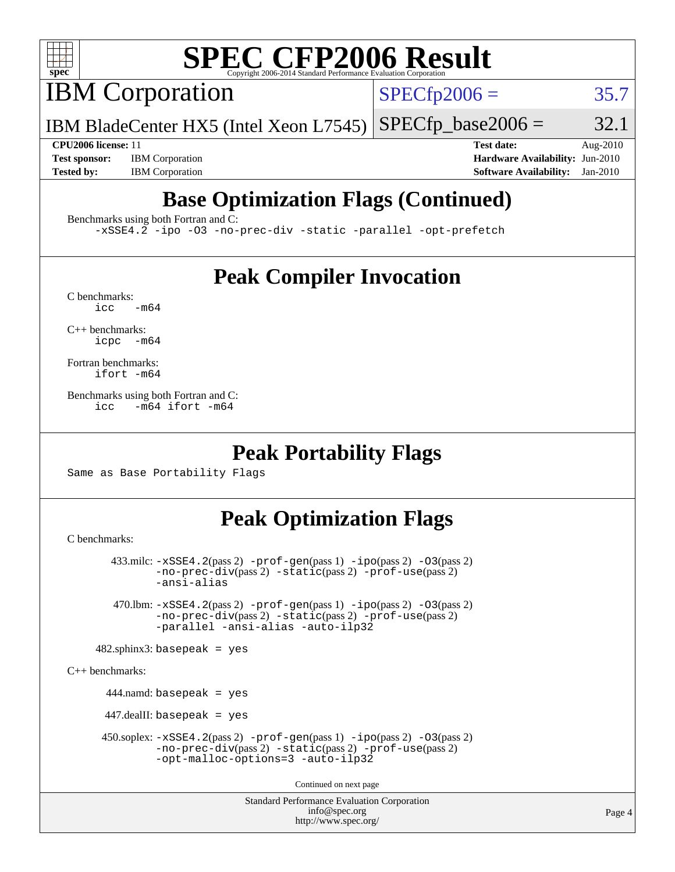

# **[SPEC CFP2006 Result](http://www.spec.org/auto/cpu2006/Docs/result-fields.html#SPECCFP2006Result)**

IBM Corporation

 $SPECfp2006 = 35.7$  $SPECfp2006 = 35.7$ 

IBM BladeCenter HX5 (Intel Xeon L7545)  $SPECTp\_base2006 = 32.1$ 

**[Test sponsor:](http://www.spec.org/auto/cpu2006/Docs/result-fields.html#Testsponsor)** IBM Corporation **[Hardware Availability:](http://www.spec.org/auto/cpu2006/Docs/result-fields.html#HardwareAvailability)** Jun-2010

**[CPU2006 license:](http://www.spec.org/auto/cpu2006/Docs/result-fields.html#CPU2006license)** 11 **[Test date:](http://www.spec.org/auto/cpu2006/Docs/result-fields.html#Testdate)** Aug-2010 **[Tested by:](http://www.spec.org/auto/cpu2006/Docs/result-fields.html#Testedby)** IBM Corporation **[Software Availability:](http://www.spec.org/auto/cpu2006/Docs/result-fields.html#SoftwareAvailability)** Jan-2010

# **[Base Optimization Flags \(Continued\)](http://www.spec.org/auto/cpu2006/Docs/result-fields.html#BaseOptimizationFlags)**

[Benchmarks using both Fortran and C](http://www.spec.org/auto/cpu2006/Docs/result-fields.html#BenchmarksusingbothFortranandC):

[-xSSE4.2](http://www.spec.org/cpu2006/results/res2010q3/cpu2006-20100831-13147.flags.html#user_CC_FCbase_f-xSSE42_f91528193cf0b216347adb8b939d4107) [-ipo](http://www.spec.org/cpu2006/results/res2010q3/cpu2006-20100831-13147.flags.html#user_CC_FCbase_f-ipo) [-O3](http://www.spec.org/cpu2006/results/res2010q3/cpu2006-20100831-13147.flags.html#user_CC_FCbase_f-O3) [-no-prec-div](http://www.spec.org/cpu2006/results/res2010q3/cpu2006-20100831-13147.flags.html#user_CC_FCbase_f-no-prec-div) [-static](http://www.spec.org/cpu2006/results/res2010q3/cpu2006-20100831-13147.flags.html#user_CC_FCbase_f-static) [-parallel](http://www.spec.org/cpu2006/results/res2010q3/cpu2006-20100831-13147.flags.html#user_CC_FCbase_f-parallel) [-opt-prefetch](http://www.spec.org/cpu2006/results/res2010q3/cpu2006-20100831-13147.flags.html#user_CC_FCbase_f-opt-prefetch)

# **[Peak Compiler Invocation](http://www.spec.org/auto/cpu2006/Docs/result-fields.html#PeakCompilerInvocation)**

 $C$  benchmarks:<br>icc  $-m64$ 

[C++ benchmarks:](http://www.spec.org/auto/cpu2006/Docs/result-fields.html#CXXbenchmarks) [icpc -m64](http://www.spec.org/cpu2006/results/res2010q3/cpu2006-20100831-13147.flags.html#user_CXXpeak_intel_icpc_64bit_bedb90c1146cab66620883ef4f41a67e)

[Fortran benchmarks](http://www.spec.org/auto/cpu2006/Docs/result-fields.html#Fortranbenchmarks): [ifort -m64](http://www.spec.org/cpu2006/results/res2010q3/cpu2006-20100831-13147.flags.html#user_FCpeak_intel_ifort_64bit_ee9d0fb25645d0210d97eb0527dcc06e)

[Benchmarks using both Fortran and C](http://www.spec.org/auto/cpu2006/Docs/result-fields.html#BenchmarksusingbothFortranandC): [icc -m64](http://www.spec.org/cpu2006/results/res2010q3/cpu2006-20100831-13147.flags.html#user_CC_FCpeak_intel_icc_64bit_0b7121f5ab7cfabee23d88897260401c) [ifort -m64](http://www.spec.org/cpu2006/results/res2010q3/cpu2006-20100831-13147.flags.html#user_CC_FCpeak_intel_ifort_64bit_ee9d0fb25645d0210d97eb0527dcc06e)

## **[Peak Portability Flags](http://www.spec.org/auto/cpu2006/Docs/result-fields.html#PeakPortabilityFlags)**

Same as Base Portability Flags

# **[Peak Optimization Flags](http://www.spec.org/auto/cpu2006/Docs/result-fields.html#PeakOptimizationFlags)**

[C benchmarks](http://www.spec.org/auto/cpu2006/Docs/result-fields.html#Cbenchmarks):

```
 433.milc: -xSSE4.2(pass 2) -prof-gen(pass 1) -ipo(pass 2) -O3(pass 2)
-no-prec-div(pass 2) -static(pass 2) -prof-use(pass 2)
-ansi-alias
```
 470.lbm: [-xSSE4.2](http://www.spec.org/cpu2006/results/res2010q3/cpu2006-20100831-13147.flags.html#user_peakPASS2_CFLAGSPASS2_LDFLAGS470_lbm_f-xSSE42_f91528193cf0b216347adb8b939d4107)(pass 2) [-prof-gen](http://www.spec.org/cpu2006/results/res2010q3/cpu2006-20100831-13147.flags.html#user_peakPASS1_CFLAGSPASS1_LDFLAGS470_lbm_prof_gen_e43856698f6ca7b7e442dfd80e94a8fc)(pass 1) [-ipo](http://www.spec.org/cpu2006/results/res2010q3/cpu2006-20100831-13147.flags.html#user_peakPASS2_CFLAGSPASS2_LDFLAGS470_lbm_f-ipo)(pass 2) [-O3](http://www.spec.org/cpu2006/results/res2010q3/cpu2006-20100831-13147.flags.html#user_peakPASS2_CFLAGSPASS2_LDFLAGS470_lbm_f-O3)(pass 2) [-no-prec-div](http://www.spec.org/cpu2006/results/res2010q3/cpu2006-20100831-13147.flags.html#user_peakPASS2_CFLAGSPASS2_LDFLAGS470_lbm_f-no-prec-div)(pass 2) [-static](http://www.spec.org/cpu2006/results/res2010q3/cpu2006-20100831-13147.flags.html#user_peakPASS2_CFLAGSPASS2_LDFLAGS470_lbm_f-static)(pass 2) [-prof-use](http://www.spec.org/cpu2006/results/res2010q3/cpu2006-20100831-13147.flags.html#user_peakPASS2_CFLAGSPASS2_LDFLAGS470_lbm_prof_use_bccf7792157ff70d64e32fe3e1250b55)(pass 2) [-parallel](http://www.spec.org/cpu2006/results/res2010q3/cpu2006-20100831-13147.flags.html#user_peakOPTIMIZE470_lbm_f-parallel) [-ansi-alias](http://www.spec.org/cpu2006/results/res2010q3/cpu2006-20100831-13147.flags.html#user_peakOPTIMIZE470_lbm_f-ansi-alias) [-auto-ilp32](http://www.spec.org/cpu2006/results/res2010q3/cpu2006-20100831-13147.flags.html#user_peakCOPTIMIZE470_lbm_f-auto-ilp32)

```
482.sphinx3: basepeak = yes
```
[C++ benchmarks:](http://www.spec.org/auto/cpu2006/Docs/result-fields.html#CXXbenchmarks)

444.namd: basepeak = yes

447.dealII: basepeak = yes

```
 450.soplex: -xSSE4.2(pass 2) -prof-gen(pass 1) -ipo(pass 2) -O3(pass 2)
 -no-prec-div(pass 2) -static(pass 2) -prof-use(pass 2)
 -opt-malloc-options=3 -auto-ilp32
```
Continued on next page

Standard Performance Evaluation Corporation [info@spec.org](mailto:info@spec.org) <http://www.spec.org/>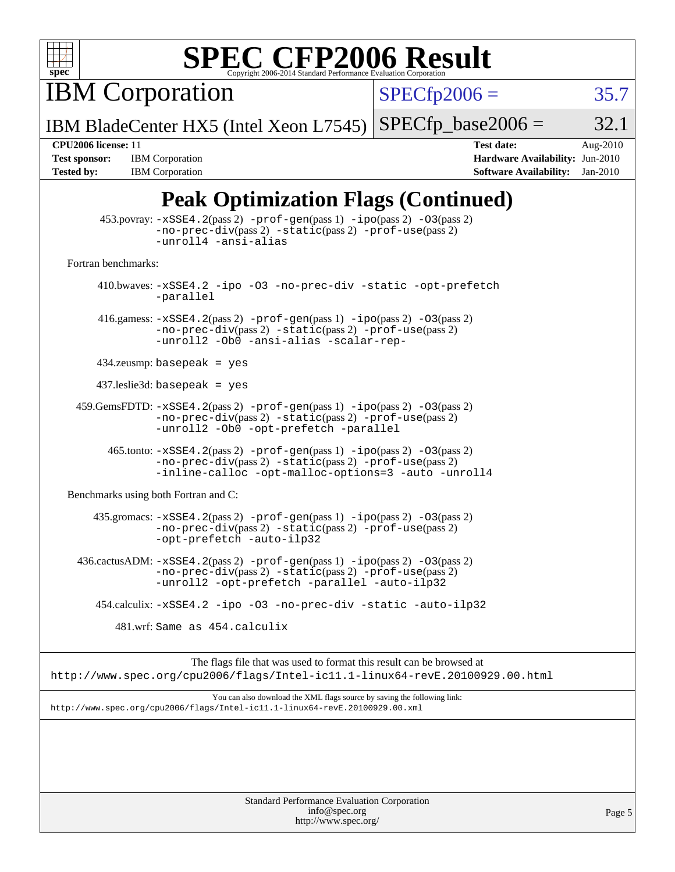

# **[SPEC CFP2006 Result](http://www.spec.org/auto/cpu2006/Docs/result-fields.html#SPECCFP2006Result)**

IBM Corporation

 $SPECfp2006 = 35.7$  $SPECfp2006 = 35.7$ 

Page 5

IBM BladeCenter HX5 (Intel Xeon L7545)  $SPECTp\_base2006 = 32.1$ 

**[Tested by:](http://www.spec.org/auto/cpu2006/Docs/result-fields.html#Testedby)** IBM Corporation **[Software Availability:](http://www.spec.org/auto/cpu2006/Docs/result-fields.html#SoftwareAvailability)** Jan-2010

**[CPU2006 license:](http://www.spec.org/auto/cpu2006/Docs/result-fields.html#CPU2006license)** 11 **[Test date:](http://www.spec.org/auto/cpu2006/Docs/result-fields.html#Testdate)** Aug-2010 **[Test sponsor:](http://www.spec.org/auto/cpu2006/Docs/result-fields.html#Testsponsor)** IBM Corporation **[Hardware Availability:](http://www.spec.org/auto/cpu2006/Docs/result-fields.html#HardwareAvailability)** Jun-2010

# **[Peak Optimization Flags \(Continued\)](http://www.spec.org/auto/cpu2006/Docs/result-fields.html#PeakOptimizationFlags)**

|                                      | $453.$ povray: $-xSSE4$ . $2(pass 2)$ -prof-gen $(pass 1)$ -ipo $(pass 2)$ -03 $(pass 2)$<br>-no-prec-div(pass 2) -static(pass 2) -prof-use(pass 2)<br>-unroll4 -ansi-alias             |
|--------------------------------------|-----------------------------------------------------------------------------------------------------------------------------------------------------------------------------------------|
| Fortran benchmarks:                  |                                                                                                                                                                                         |
|                                      | 410.bwaves: -xSSE4.2 -ipo -03 -no-prec-div -static -opt-prefetch<br>-parallel                                                                                                           |
|                                      | 416.gamess: $-xSSE4$ . 2(pass 2) $-prof-gen(pass 1) -ipo(pass 2) -O3(pass 2)$<br>$-no-prec-div(pass 2) -static(pass 2) -prof-use(pass 2)$<br>-unroll2 -Ob0 -ansi-alias -scalar-rep-     |
|                                      | $434$ .zeusmp: basepeak = yes                                                                                                                                                           |
|                                      | $437$ leslie3d: basepeak = yes                                                                                                                                                          |
|                                      | $459.GemsFDTD: -xSSE4.2(pass 2) -prof-gen(pass 1) -ipo(pass 2) -03(pass 2)$<br>-no-prec-div(pass 2) -static(pass 2) -prof-use(pass 2)<br>-unroll2 -Ob0 -opt-prefetch -parallel          |
|                                      | 465.tonto: -xSSE4.2(pass 2) -prof-gen(pass 1) -ipo(pass 2) -03(pass 2)<br>-no-prec-div(pass 2) -static(pass 2) -prof-use(pass 2)<br>-inline-calloc -opt-malloc-options=3 -auto -unroll4 |
| Benchmarks using both Fortran and C: |                                                                                                                                                                                         |
|                                      | 435.gromacs: -xSSE4.2(pass 2) -prof-gen(pass 1) -ipo(pass 2) -03(pass 2)<br>-no-prec-div(pass 2) -static(pass 2) -prof-use(pass 2)<br>-opt-prefetch -auto-ilp32                         |
|                                      | 436.cactusADM: -xSSE4.2(pass 2) -prof-gen(pass 1) -ipo(pass 2) -03(pass 2)<br>$-no-prec-div(pass 2) -static(pass 2) -prof-use(pass 2)$<br>-unroll2 -opt-prefetch -parallel -auto-ilp32  |
|                                      | 454.calculix: -xSSE4.2 -ipo -03 -no-prec-div -static -auto-ilp32                                                                                                                        |
|                                      | 481.wrf: Same as 454.calculix                                                                                                                                                           |
|                                      | The flags file that was used to format this result can be browsed at<br>http://www.spec.org/cpu2006/flags/Intel-ic11.1-linux64-revE.20100929.00.html                                    |
|                                      | You can also download the XML flags source by saving the following link:<br>http://www.spec.org/cpu2006/flags/Intel-ic11.1-linux64-revE.20100929.00.xml                                 |
|                                      |                                                                                                                                                                                         |
|                                      |                                                                                                                                                                                         |
|                                      |                                                                                                                                                                                         |
|                                      | Standard Performance Evaluation Corporation                                                                                                                                             |

[info@spec.org](mailto:info@spec.org) <http://www.spec.org/>